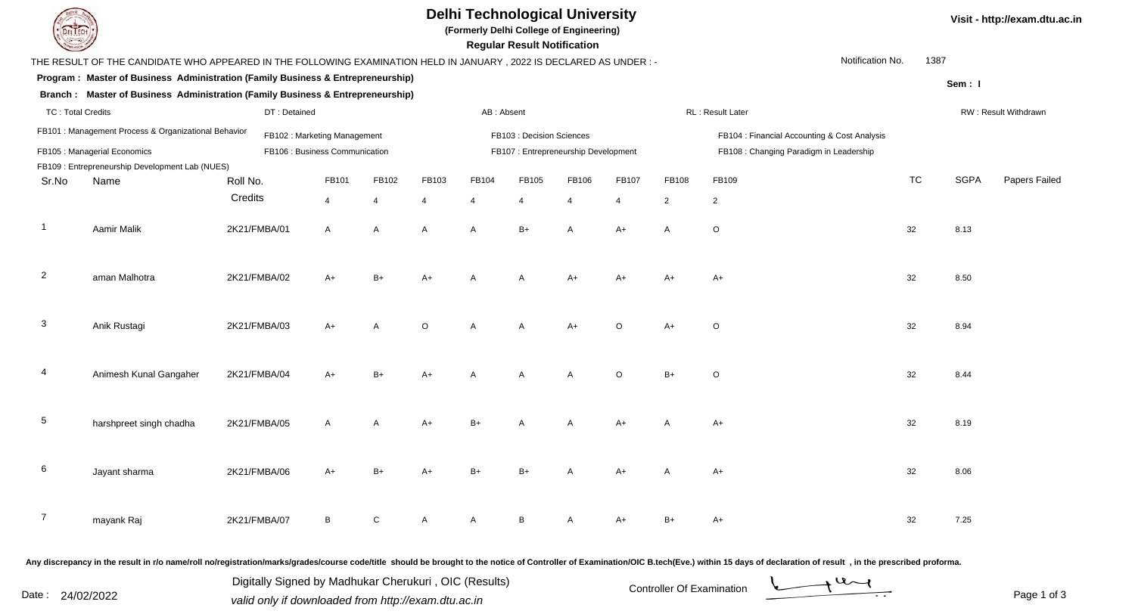| <b>DELTEC</b>                |                                                                                                                     |                                |                             |                |                                     |              | <b>Delhi Technological University</b><br>(Formerly Delhi College of Engineering)<br><b>Regular Result Notification</b> |                |                       |                                         |                                                                                                                                                                                                                                |                  |      |             | Visit - http://exam.dtu.ac.in |
|------------------------------|---------------------------------------------------------------------------------------------------------------------|--------------------------------|-----------------------------|----------------|-------------------------------------|--------------|------------------------------------------------------------------------------------------------------------------------|----------------|-----------------------|-----------------------------------------|--------------------------------------------------------------------------------------------------------------------------------------------------------------------------------------------------------------------------------|------------------|------|-------------|-------------------------------|
|                              | THE RESULT OF THE CANDIDATE WHO APPEARED IN THE FOLLOWING EXAMINATION HELD IN JANUARY, 2022 IS DECLARED AS UNDER :- |                                |                             |                |                                     |              |                                                                                                                        |                |                       |                                         |                                                                                                                                                                                                                                | Notification No. | 1387 |             |                               |
|                              | Program: Master of Business Administration (Family Business & Entrepreneurship)                                     |                                |                             |                |                                     |              |                                                                                                                        |                |                       |                                         |                                                                                                                                                                                                                                |                  |      | Sem: I      |                               |
|                              | Branch : Master of Business Administration (Family Business & Entrepreneurship)                                     |                                |                             |                |                                     |              |                                                                                                                        |                |                       |                                         |                                                                                                                                                                                                                                |                  |      |             |                               |
| <b>TC: Total Credits</b>     |                                                                                                                     |                                |                             | AB: Absent     |                                     |              | RL: Result Later                                                                                                       |                |                       |                                         | RW: Result Withdrawn                                                                                                                                                                                                           |                  |      |             |                               |
|                              | FB101 : Management Process & Organizational Behavior                                                                |                                | FB102: Marketing Management |                |                                     |              | FB103 : Decision Sciences                                                                                              |                |                       |                                         | FB104 : Financial Accounting & Cost Analysis                                                                                                                                                                                   |                  |      |             |                               |
| FB105 : Managerial Economics |                                                                                                                     | FB106 : Business Communication |                             |                | FB107: Entrepreneurship Development |              |                                                                                                                        |                |                       | FB108 : Changing Paradigm in Leadership |                                                                                                                                                                                                                                |                  |      |             |                               |
|                              | FB109 : Entrepreneurship Development Lab (NUES)                                                                     |                                |                             |                |                                     |              |                                                                                                                        |                |                       |                                         |                                                                                                                                                                                                                                |                  |      |             |                               |
| Sr.No                        | Name                                                                                                                | Roll No.                       | FB101                       | FB102          | FB103                               | FB104        | FB105                                                                                                                  | FB106          | FB107                 | FB108                                   | FB109                                                                                                                                                                                                                          | <b>TC</b>        |      | <b>SGPA</b> | Papers Failed                 |
|                              |                                                                                                                     | Credits                        | $\overline{4}$              | $\overline{4}$ | 4                                   |              |                                                                                                                        | $\overline{4}$ | $\boldsymbol{\Delta}$ | 2                                       | $\overline{2}$                                                                                                                                                                                                                 |                  |      |             |                               |
|                              | Aamir Malik                                                                                                         | 2K21/FMBA/01                   | $\overline{A}$              | $\overline{A}$ | A                                   | A            | $B+$                                                                                                                   |                | $A+$                  | $\overline{A}$                          | $\circ$                                                                                                                                                                                                                        | 32               |      | 8.13        |                               |
| $\overline{2}$               | aman Malhotra                                                                                                       | 2K21/FMBA/02                   | $A+$                        | $B+$           | $A+$                                | A            |                                                                                                                        | $A+$           | A+                    | A+                                      | $A+$                                                                                                                                                                                                                           | 32               |      | 8.50        |                               |
| 3                            | Anik Rustagi                                                                                                        | 2K21/FMBA/03                   | $A+$                        | $\overline{A}$ | $\circ$                             | A            | A                                                                                                                      | $A+$           | $\circ$               | A+                                      | $\circ$                                                                                                                                                                                                                        | 32               |      | 8.94        |                               |
|                              | Animesh Kunal Gangaher                                                                                              | 2K21/FMBA/04                   | $A+$                        | $B+$           | A+                                  |              |                                                                                                                        |                | $\circ$               | $B+$                                    | $\circ$                                                                                                                                                                                                                        | 32               |      | 8.44        |                               |
| 5                            | harshpreet singh chadha                                                                                             | 2K21/FMBA/05                   | A                           | A              | A+                                  |              |                                                                                                                        |                |                       |                                         | $A+$                                                                                                                                                                                                                           | 32               |      | 8.19        |                               |
|                              | Jayant sharma                                                                                                       | 2K21/FMBA/06                   | $A+$                        | $B+$           | $A+$                                | $B+$         | $B+$                                                                                                                   | $\mathsf{A}$   | $A+$                  | A                                       | $A+$                                                                                                                                                                                                                           | 32               |      | 8.06        |                               |
| $\overline{7}$               | mayank Raj                                                                                                          | 2K21/FMBA/07                   | B                           | ${\rm C}$      | A                                   | $\mathsf{A}$ | B                                                                                                                      | $\mathsf{A}$   | $A+$                  | $B+$                                    | A+                                                                                                                                                                                                                             | 32               |      | 7.25        |                               |
|                              |                                                                                                                     |                                |                             |                |                                     |              |                                                                                                                        |                |                       |                                         | Any discrepancy in the result in r/o name/roll no/registration/marks/grades/course code/title should be brought to the notice of Controller of Examination/OIC B.tech(Eve.) within 15 days of declaration of result , in the p |                  |      |             |                               |

Date : 24/02/2022<br>
valid only if downloaded from http://exam.dtu.ac.in<br>
Page 1 of Digitally Signed by Madhukar Cherukuri , OIC (Results)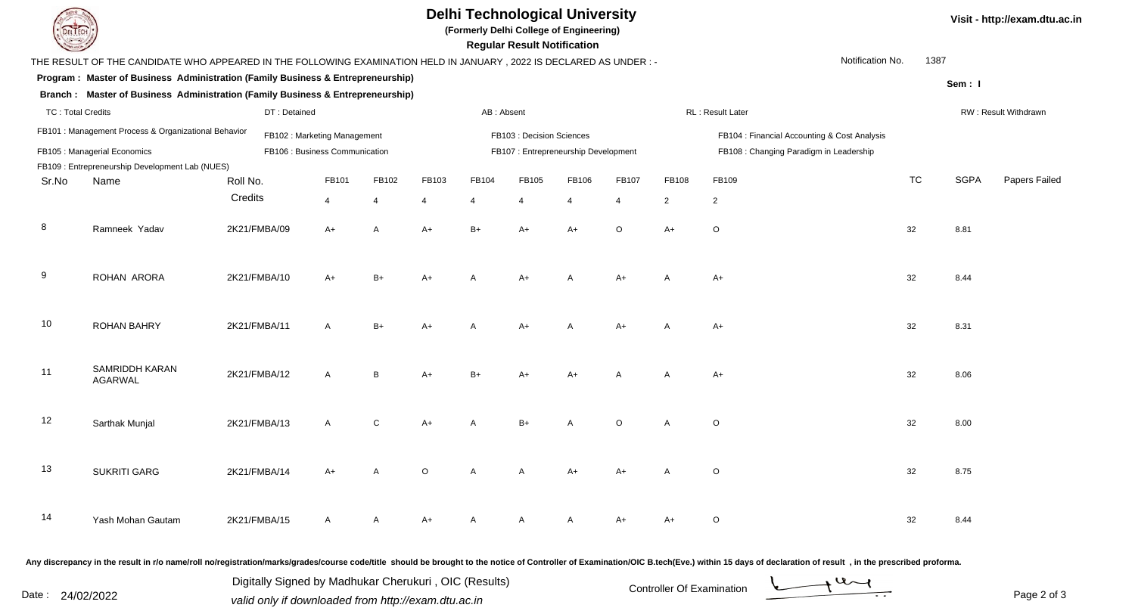| <b>Delhi Technological University</b><br>(Formerly Delhi College of Engineering)<br><b>Regular Result Notification</b>                            |                                                                                  |              |                                |                |                           |              |       |                                              |                |                                         |                      | Visit - http://exam.dtu.ac.in |             |               |
|---------------------------------------------------------------------------------------------------------------------------------------------------|----------------------------------------------------------------------------------|--------------|--------------------------------|----------------|---------------------------|--------------|-------|----------------------------------------------|----------------|-----------------------------------------|----------------------|-------------------------------|-------------|---------------|
| Notification No.<br>1387<br>THE RESULT OF THE CANDIDATE WHO APPEARED IN THE FOLLOWING EXAMINATION HELD IN JANUARY , 2022 IS DECLARED AS UNDER : - |                                                                                  |              |                                |                |                           |              |       |                                              |                |                                         |                      |                               |             |               |
|                                                                                                                                                   | Program : Master of Business Administration (Family Business & Entrepreneurship) |              |                                |                |                           |              |       |                                              |                |                                         |                      |                               | Sem: I      |               |
|                                                                                                                                                   | Branch: Master of Business Administration (Family Business & Entrepreneurship)   |              |                                |                |                           |              |       |                                              |                |                                         |                      |                               |             |               |
| <b>TC: Total Credits</b><br>DT: Detained                                                                                                          |                                                                                  |              |                                |                | AB: Absent                |              |       |                                              |                | RL: Result Later                        | RW: Result Withdrawn |                               |             |               |
| FB101 : Management Process & Organizational Behavior<br>FB102: Marketing Management                                                               |                                                                                  |              |                                |                | FB103 : Decision Sciences |              |       | FB104 : Financial Accounting & Cost Analysis |                |                                         |                      |                               |             |               |
|                                                                                                                                                   | FB105 : Managerial Economics                                                     |              | FB106 : Business Communication |                |                           |              |       | FB107: Entrepreneurship Development          |                | FB108 : Changing Paradigm in Leadership |                      |                               |             |               |
|                                                                                                                                                   | FB109 : Entrepreneurship Development Lab (NUES)                                  |              |                                |                |                           |              |       |                                              |                |                                         |                      |                               |             |               |
| Sr.No                                                                                                                                             | Name                                                                             | Roll No.     | FB101                          | FB102          | FB103                     | FB104        | FB105 | FB106                                        | FB107          | FB108                                   | FB109                | <b>TC</b>                     | <b>SGPA</b> | Papers Failed |
|                                                                                                                                                   |                                                                                  | Credits      | 4                              | $\overline{4}$ |                           | 4            |       | $\overline{4}$                               | $\overline{4}$ | $\overline{2}$                          | $\overline{2}$       |                               |             |               |
| 8                                                                                                                                                 | Ramneek Yadav                                                                    | 2K21/FMBA/09 | A+                             | A              | $A+$                      | $B+$         | A+    | $A+$                                         | $\circ$        | $A+$                                    | $\mathsf O$          | 32                            | 8.81        |               |
| 9                                                                                                                                                 | ROHAN ARORA                                                                      | 2K21/FMBA/10 | A+                             | $B+$           | $A+$                      |              | A+    | А                                            | $A+$           | A                                       | A+                   | 32                            | 8.44        |               |
| 10                                                                                                                                                | <b>ROHAN BAHRY</b>                                                               | 2K21/FMBA/11 | А                              | $B+$           | A+                        |              |       |                                              | $A+$           |                                         | A+                   | 32                            | 8.31        |               |
| 11                                                                                                                                                | SAMRIDDH KARAN<br><b>AGARWAL</b>                                                 | 2K21/FMBA/12 | А                              | B              | $A+$                      | $B+$         |       | A+                                           |                |                                         | A+                   | 32                            | 8.06        |               |
| 12                                                                                                                                                | Sarthak Munjal                                                                   | 2K21/FMBA/13 | А                              | C              | $A+$                      |              | $B+$  |                                              | $\Omega$       | Α                                       | $\circ$              | 32                            | 8.00        |               |
| 13                                                                                                                                                | <b>SUKRITI GARG</b>                                                              | 2K21/FMBA/14 | $A+$                           | A              | $\overline{O}$            | A            | A     | $A+$                                         | $A+$           | A                                       | $\circ$              | 32                            | 8.75        |               |
| 14                                                                                                                                                | Yash Mohan Gautam                                                                | 2K21/FMBA/15 | A                              | $\mathsf{A}$   | $A+$                      | $\mathsf{A}$ | A     | $\mathsf{A}$                                 | A+             | A+                                      | $\circ$              | 32                            | 8.44        |               |
|                                                                                                                                                   |                                                                                  |              |                                |                |                           |              |       |                                              |                |                                         |                      |                               |             |               |

Any discrepancy in the result in r/o name/roll no/registration/marks/grades/course code/title should be brought to the notice of Controller of Examination/OIC B.tech(Eve.) within 15 days of declaration of result ,in the p

Digitally Signed by Madhukar Cherukuri, OIC (Results)<br>Date : 24/02/2022 valid only if downloaded from http://exam.dtu.ac.in Digitally Signed by Madhukar Cherukuri , OIC (Results) valid only if downloaded from http://exam.dtu.ac.in